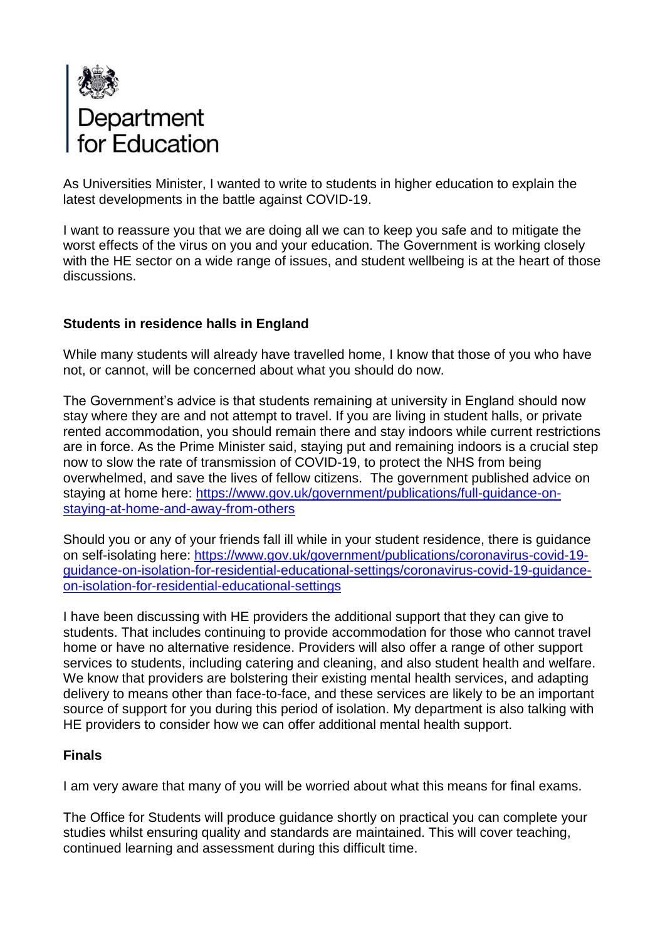

As Universities Minister, I wanted to write to students in higher education to explain the latest developments in the battle against COVID-19.

I want to reassure you that we are doing all we can to keep you safe and to mitigate the worst effects of the virus on you and your education. The Government is working closely with the HE sector on a wide range of issues, and student wellbeing is at the heart of those discussions.

## **Students in residence halls in England**

While many students will already have travelled home, I know that those of you who have not, or cannot, will be concerned about what you should do now.

The Government's advice is that students remaining at university in England should now stay where they are and not attempt to travel. If you are living in student halls, or private rented accommodation, you should remain there and stay indoors while current restrictions are in force. As the Prime Minister said, staying put and remaining indoors is a crucial step now to slow the rate of transmission of COVID-19, to protect the NHS from being overwhelmed, and save the lives of fellow citizens. The government published advice on staying at home here: [https://www.gov.uk/government/publications/full-guidance-on](https://www.gov.uk/government/publications/full-guidance-on-staying-at-home-and-away-from-others)[staying-at-home-and-away-from-others](https://www.gov.uk/government/publications/full-guidance-on-staying-at-home-and-away-from-others)

Should you or any of your friends fall ill while in your student residence, there is guidance on self-isolating here: [https://www.gov.uk/government/publications/coronavirus-covid-19](https://www.gov.uk/government/publications/coronavirus-covid-19-guidance-on-isolation-for-residential-educational-settings/coronavirus-covid-19-guidance-on-isolation-for-residential-educational-settings) [guidance-on-isolation-for-residential-educational-settings/coronavirus-covid-19-guidance](https://www.gov.uk/government/publications/coronavirus-covid-19-guidance-on-isolation-for-residential-educational-settings/coronavirus-covid-19-guidance-on-isolation-for-residential-educational-settings)[on-isolation-for-residential-educational-settings](https://www.gov.uk/government/publications/coronavirus-covid-19-guidance-on-isolation-for-residential-educational-settings/coronavirus-covid-19-guidance-on-isolation-for-residential-educational-settings)

I have been discussing with HE providers the additional support that they can give to students. That includes continuing to provide accommodation for those who cannot travel home or have no alternative residence. Providers will also offer a range of other support services to students, including catering and cleaning, and also student health and welfare. We know that providers are bolstering their existing mental health services, and adapting delivery to means other than face-to-face, and these services are likely to be an important source of support for you during this period of isolation. My department is also talking with HE providers to consider how we can offer additional mental health support.

#### **Finals**

I am very aware that many of you will be worried about what this means for final exams.

The Office for Students will produce guidance shortly on practical you can complete your studies whilst ensuring quality and standards are maintained. This will cover teaching, continued learning and assessment during this difficult time.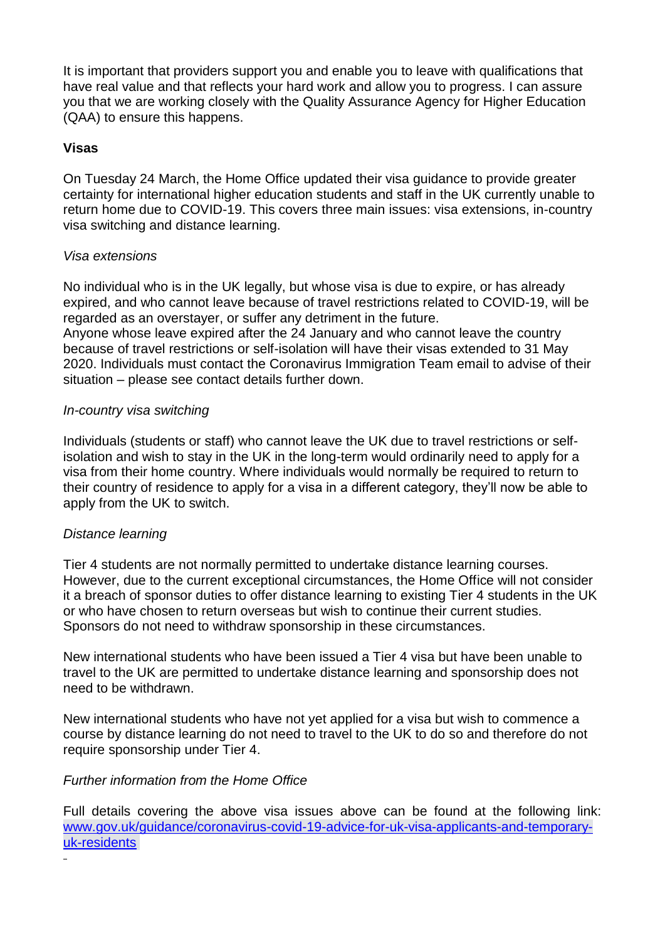It is important that providers support you and enable you to leave with qualifications that have real value and that reflects your hard work and allow you to progress. I can assure you that we are working closely with the Quality Assurance Agency for Higher Education (QAA) to ensure this happens.

### **Visas**

On Tuesday 24 March, the Home Office updated their visa guidance to provide greater certainty for international higher education students and staff in the UK currently unable to return home due to COVID-19. This covers three main issues: visa extensions, in-country visa switching and distance learning.

## *Visa extensions*

No individual who is in the UK legally, but whose visa is due to expire, or has already expired, and who cannot leave because of travel restrictions related to COVID-19, will be regarded as an overstayer, or suffer any detriment in the future. Anyone whose leave expired after the 24 January and who cannot leave the country because of travel restrictions or self-isolation will have their visas extended to 31 May

2020. Individuals must contact the Coronavirus Immigration Team email to advise of their

# *In-country visa switching*

situation – please see contact details further down.

Individuals (students or staff) who cannot leave the UK due to travel restrictions or selfisolation and wish to stay in the UK in the long-term would ordinarily need to apply for a visa from their home country. Where individuals would normally be required to return to their country of residence to apply for a visa in a different category, they'll now be able to apply from the UK to switch.

## *Distance learning*

Tier 4 students are not normally permitted to undertake distance learning courses. However, due to the current exceptional circumstances, the Home Office will not consider it a breach of sponsor duties to offer distance learning to existing Tier 4 students in the UK or who have chosen to return overseas but wish to continue their current studies. Sponsors do not need to withdraw sponsorship in these circumstances.

New international students who have been issued a Tier 4 visa but have been unable to travel to the UK are permitted to undertake distance learning and sponsorship does not need to be withdrawn.

New international students who have not yet applied for a visa but wish to commence a course by distance learning do not need to travel to the UK to do so and therefore do not require sponsorship under Tier 4.

## *Further information from the Home Office*

Full details covering the above visa issues above can be found at the following link: [www.gov.uk/guidance/coronavirus-covid-19-advice-for-uk-visa-applicants-and-temporary](http://www.gov.uk/guidance/coronavirus-covid-19-advice-for-uk-visa-applicants-and-temporary-uk-residents)[uk-residents](http://www.gov.uk/guidance/coronavirus-covid-19-advice-for-uk-visa-applicants-and-temporary-uk-residents)